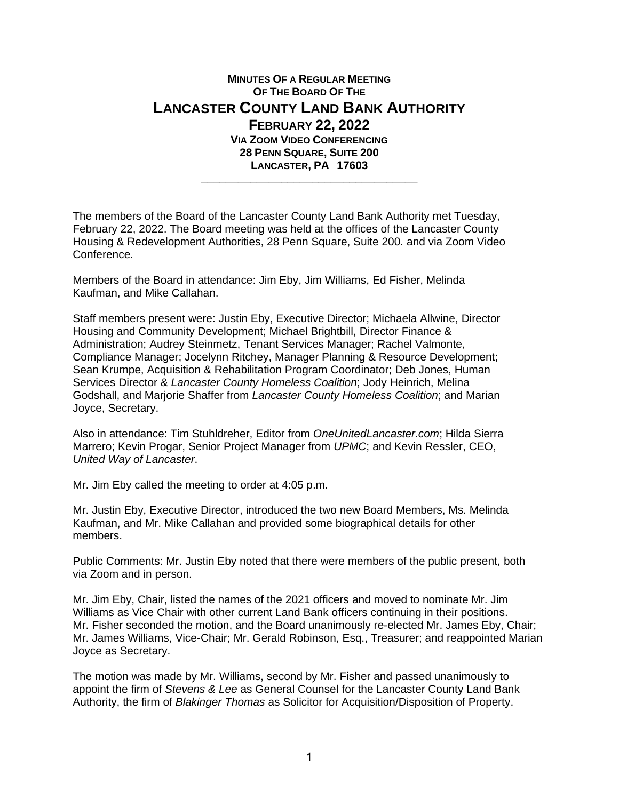## **MINUTES OF A REGULAR MEETING OF THE BOARD OF THE LANCASTER COUNTY LAND BANK AUTHORITY FEBRUARY 22, 2022 VIA ZOOM VIDEO CONFERENCING 28 PENN SQUARE, SUITE 200 LANCASTER, PA 17603 \_\_\_\_\_\_\_\_\_\_\_\_\_\_\_\_\_\_\_\_\_\_\_\_\_\_\_\_\_\_\_\_\_\_\_**

The members of the Board of the Lancaster County Land Bank Authority met Tuesday, February 22, 2022. The Board meeting was held at the offices of the Lancaster County Housing & Redevelopment Authorities, 28 Penn Square, Suite 200. and via Zoom Video Conference.

Members of the Board in attendance: Jim Eby, Jim Williams, Ed Fisher, Melinda Kaufman, and Mike Callahan.

Staff members present were: Justin Eby, Executive Director; Michaela Allwine, Director Housing and Community Development; Michael Brightbill, Director Finance & Administration; Audrey Steinmetz, Tenant Services Manager; Rachel Valmonte, Compliance Manager; Jocelynn Ritchey, Manager Planning & Resource Development; Sean Krumpe, Acquisition & Rehabilitation Program Coordinator; Deb Jones, Human Services Director & *Lancaster County Homeless Coalition*; Jody Heinrich, Melina Godshall, and Marjorie Shaffer from *Lancaster County Homeless Coalition*; and Marian Joyce, Secretary.

Also in attendance: Tim Stuhldreher, Editor from *OneUnitedLancaster.com*; Hilda Sierra Marrero; Kevin Progar, Senior Project Manager from *UPMC*; and Kevin Ressler, CEO, *United Way of Lancaster*.

Mr. Jim Eby called the meeting to order at 4:05 p.m.

Mr. Justin Eby, Executive Director, introduced the two new Board Members, Ms. Melinda Kaufman, and Mr. Mike Callahan and provided some biographical details for other members.

Public Comments: Mr. Justin Eby noted that there were members of the public present, both via Zoom and in person.

Mr. Jim Eby, Chair, listed the names of the 2021 officers and moved to nominate Mr. Jim Williams as Vice Chair with other current Land Bank officers continuing in their positions. Mr. Fisher seconded the motion, and the Board unanimously re-elected Mr. James Eby, Chair; Mr. James Williams, Vice-Chair; Mr. Gerald Robinson, Esq., Treasurer; and reappointed Marian Joyce as Secretary.

The motion was made by Mr. Williams, second by Mr. Fisher and passed unanimously to appoint the firm of *Stevens & Lee* as General Counsel for the Lancaster County Land Bank Authority, the firm of *Blakinger Thomas* as Solicitor for Acquisition/Disposition of Property.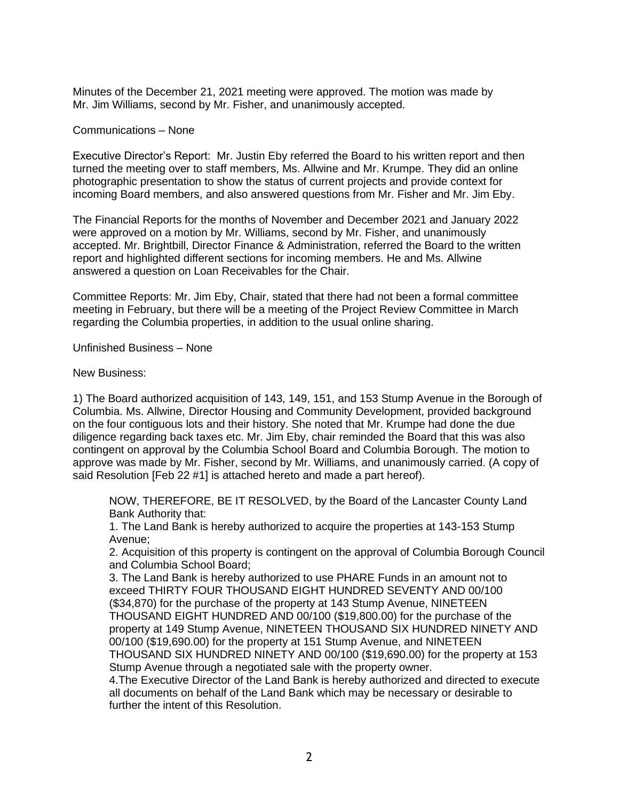Minutes of the December 21, 2021 meeting were approved. The motion was made by Mr. Jim Williams, second by Mr. Fisher, and unanimously accepted.

Communications – None

Executive Director's Report: Mr. Justin Eby referred the Board to his written report and then turned the meeting over to staff members, Ms. Allwine and Mr. Krumpe. They did an online photographic presentation to show the status of current projects and provide context for incoming Board members, and also answered questions from Mr. Fisher and Mr. Jim Eby.

The Financial Reports for the months of November and December 2021 and January 2022 were approved on a motion by Mr. Williams, second by Mr. Fisher, and unanimously accepted. Mr. Brightbill, Director Finance & Administration, referred the Board to the written report and highlighted different sections for incoming members. He and Ms. Allwine answered a question on Loan Receivables for the Chair.

Committee Reports: Mr. Jim Eby, Chair, stated that there had not been a formal committee meeting in February, but there will be a meeting of the Project Review Committee in March regarding the Columbia properties, in addition to the usual online sharing.

Unfinished Business – None

New Business:

1) The Board authorized acquisition of 143, 149, 151, and 153 Stump Avenue in the Borough of Columbia. Ms. Allwine, Director Housing and Community Development, provided background on the four contiguous lots and their history. She noted that Mr. Krumpe had done the due diligence regarding back taxes etc. Mr. Jim Eby, chair reminded the Board that this was also contingent on approval by the Columbia School Board and Columbia Borough. The motion to approve was made by Mr. Fisher, second by Mr. Williams, and unanimously carried. (A copy of said Resolution [Feb 22 #1] is attached hereto and made a part hereof).

NOW, THEREFORE, BE IT RESOLVED, by the Board of the Lancaster County Land Bank Authority that:

1. The Land Bank is hereby authorized to acquire the properties at 143-153 Stump Avenue;

2. Acquisition of this property is contingent on the approval of Columbia Borough Council and Columbia School Board;

3. The Land Bank is hereby authorized to use PHARE Funds in an amount not to exceed THIRTY FOUR THOUSAND EIGHT HUNDRED SEVENTY AND 00/100 (\$34,870) for the purchase of the property at 143 Stump Avenue, NINETEEN THOUSAND EIGHT HUNDRED AND 00/100 (\$19,800.00) for the purchase of the property at 149 Stump Avenue, NINETEEN THOUSAND SIX HUNDRED NINETY AND 00/100 (\$19,690.00) for the property at 151 Stump Avenue, and NINETEEN THOUSAND SIX HUNDRED NINETY AND 00/100 (\$19,690.00) for the property at 153 Stump Avenue through a negotiated sale with the property owner.

4.The Executive Director of the Land Bank is hereby authorized and directed to execute all documents on behalf of the Land Bank which may be necessary or desirable to further the intent of this Resolution.